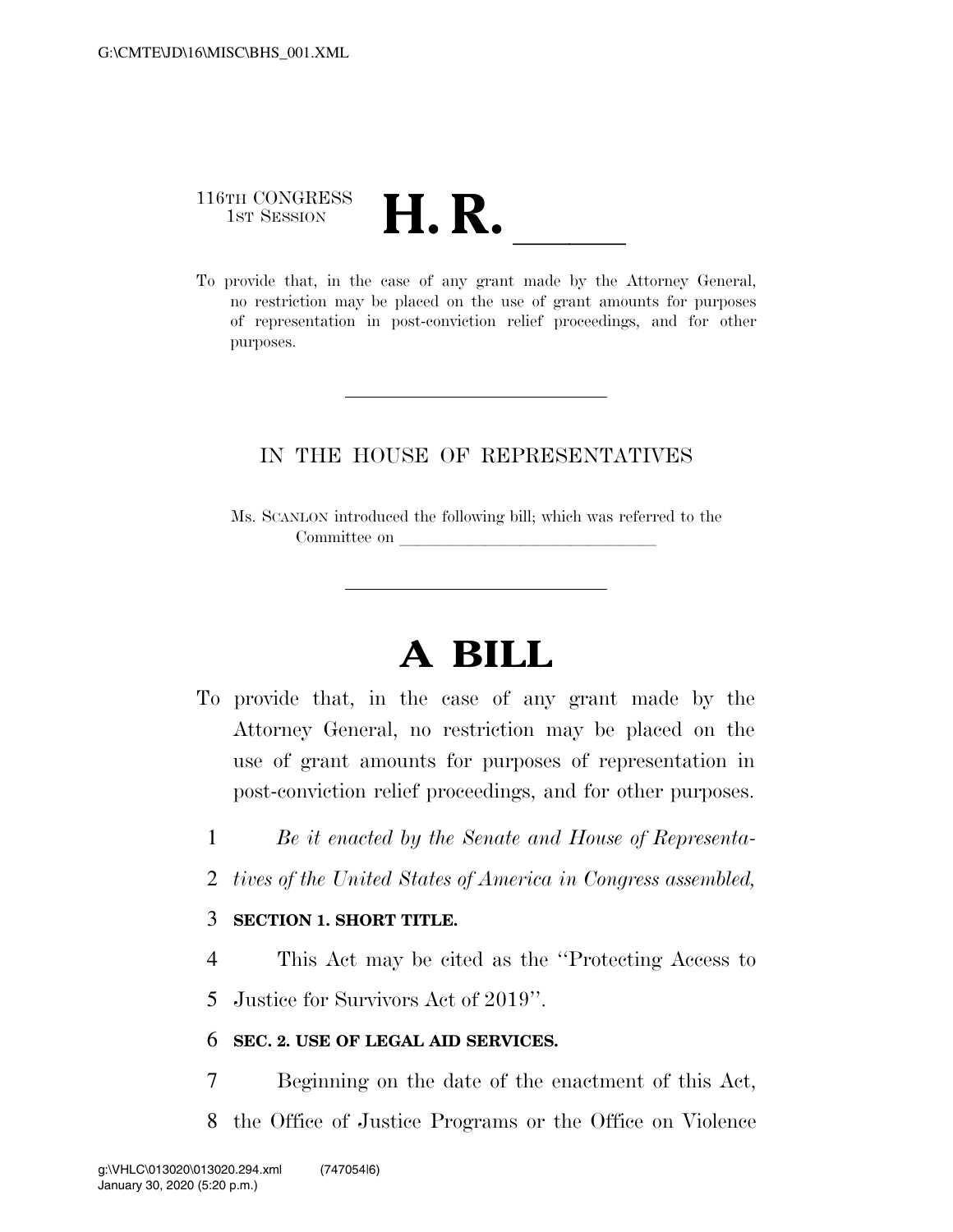# 116TH CONGRESS 116TH CONGRESS<br>
1st SESSION<br>
To provide that, in the case of any grant made by the Attorney General,

no restriction may be placed on the use of grant amounts for purposes of representation in post-conviction relief proceedings, and for other purposes.

### IN THE HOUSE OF REPRESENTATIVES

Ms. SCANLON introduced the following bill; which was referred to the Committee on

## **A BILL**

- To provide that, in the case of any grant made by the Attorney General, no restriction may be placed on the use of grant amounts for purposes of representation in post-conviction relief proceedings, and for other purposes.
	- 1 *Be it enacted by the Senate and House of Representa-*
	- 2 *tives of the United States of America in Congress assembled,*

#### 3 **SECTION 1. SHORT TITLE.**

4 This Act may be cited as the ''Protecting Access to

5 Justice for Survivors Act of 2019''.

#### 6 **SEC. 2. USE OF LEGAL AID SERVICES.**

- 7 Beginning on the date of the enactment of this Act,
- 8 the Office of Justice Programs or the Office on Violence